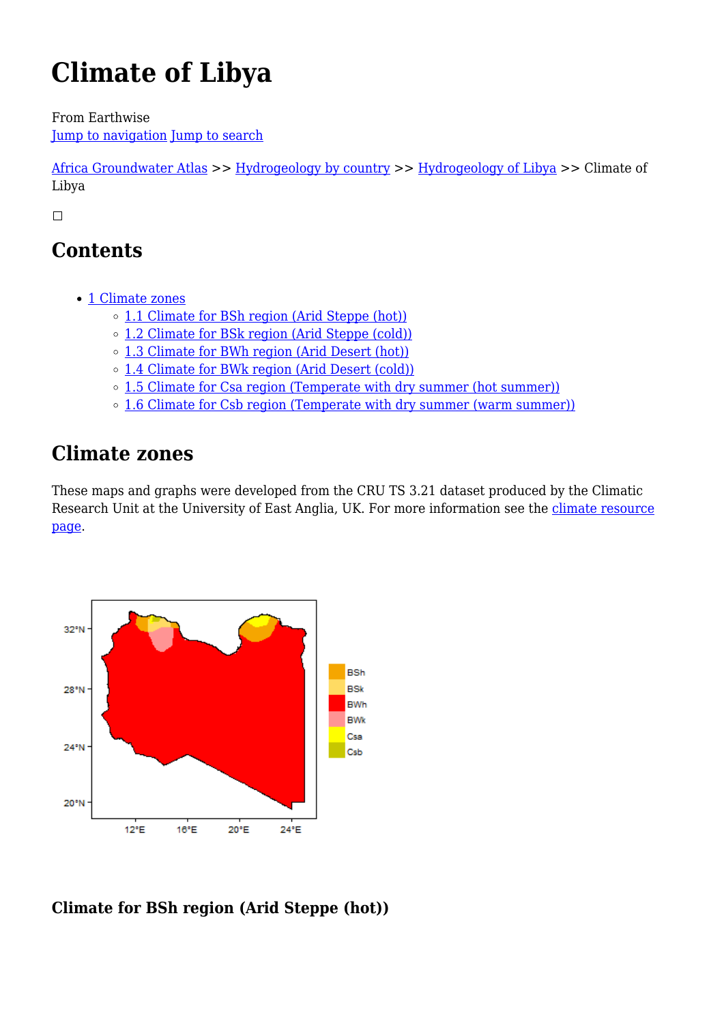# **Climate of Libya**

From Earthwise [Jump to navigation](#page--1-0) [Jump to search](#page--1-0)

[Africa Groundwater Atlas](http://earthwise.bgs.ac.uk/index.php/Africa_Groundwater_Atlas_Home) >> [Hydrogeology by country](http://earthwise.bgs.ac.uk/index.php/Hydrogeology_by_country) >> [Hydrogeology of Libya](http://earthwise.bgs.ac.uk/index.php/Hydrogeology_of_Libya) >> Climate of Libya

 $\Box$ 

# **Contents**

- [1](#page--1-0) [Climate zones](#page--1-0)
	- [1.1](#Climate_for_BSh_region_.28Arid_Steppe_.28hot.29.29) [Climate for BSh region \(Arid Steppe \(hot\)\)](#Climate_for_BSh_region_.28Arid_Steppe_.28hot.29.29)
	- [1.2](#Climate_for_BSk_region_.28Arid_Steppe_.28cold.29.29) [Climate for BSk region \(Arid Steppe \(cold\)\)](#Climate_for_BSk_region_.28Arid_Steppe_.28cold.29.29)
	- [1.3](#Climate_for_BWh_region_.28Arid_Desert_.28hot.29.29) [Climate for BWh region \(Arid Desert \(hot\)\)](#Climate_for_BWh_region_.28Arid_Desert_.28hot.29.29)
	- [1.4](#Climate_for_BWk_region_.28Arid_Desert_.28cold.29.29) [Climate for BWk region \(Arid Desert \(cold\)\)](#Climate_for_BWk_region_.28Arid_Desert_.28cold.29.29)
	- [1.5](#Climate_for_Csa_region_.28Temperate_with_dry_summer_.28hot_summer.29.29) [Climate for Csa region \(Temperate with dry summer \(hot summer\)\)](#Climate_for_Csa_region_.28Temperate_with_dry_summer_.28hot_summer.29.29)
	- o [1.6](#Climate_for_Csb_region_.28Temperate_with_dry_summer_.28warm_summer.29.29) [Climate for Csb region \(Temperate with dry summer \(warm summer\)\)](#Climate_for_Csb_region_.28Temperate_with_dry_summer_.28warm_summer.29.29)

# **Climate zones**

These maps and graphs were developed from the CRU TS 3.21 dataset produced by the Climatic Research Unit at the University of East Anglia, UK. For more information see the [climate resource](http://earthwise.bgs.ac.uk/index.php/Climate) [page.](http://earthwise.bgs.ac.uk/index.php/Climate)



## **Climate for BSh region (Arid Steppe (hot))**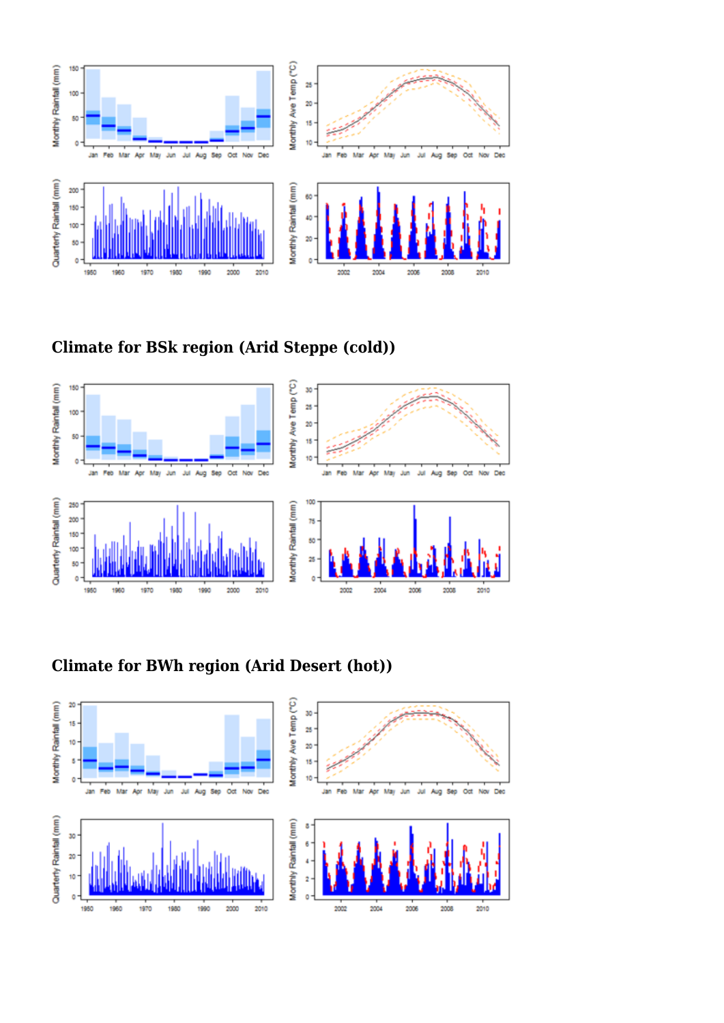

**Climate for BSk region (Arid Steppe (cold))**



**Climate for BWh region (Arid Desert (hot))**

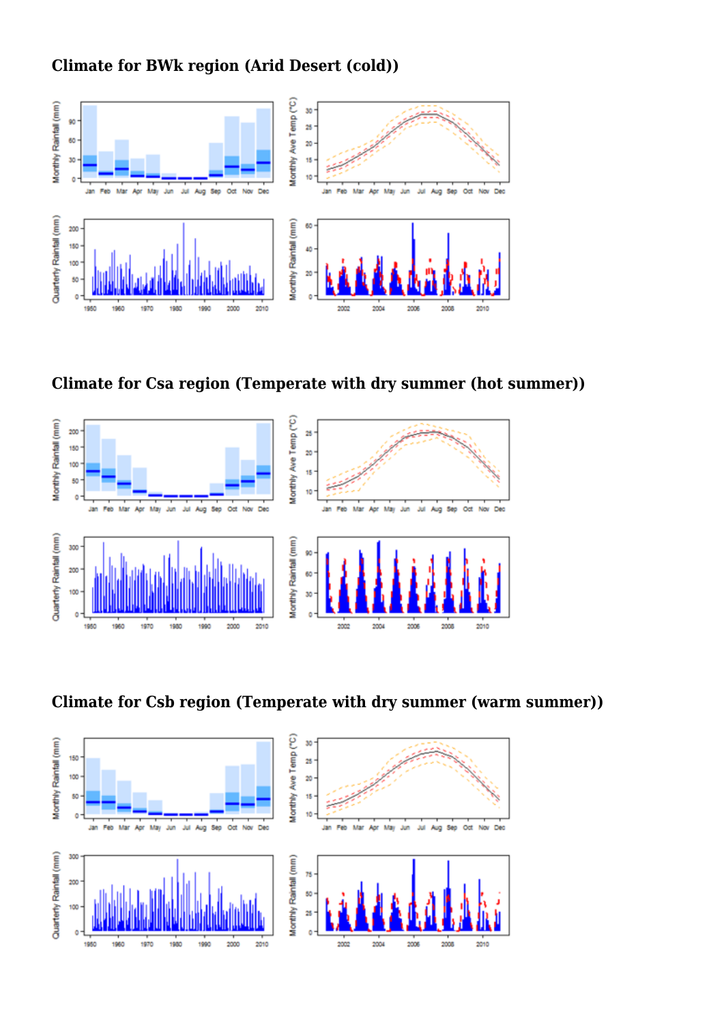#### **Climate for BWk region (Arid Desert (cold))**







**Climate for Csb region (Temperate with dry summer (warm summer))**

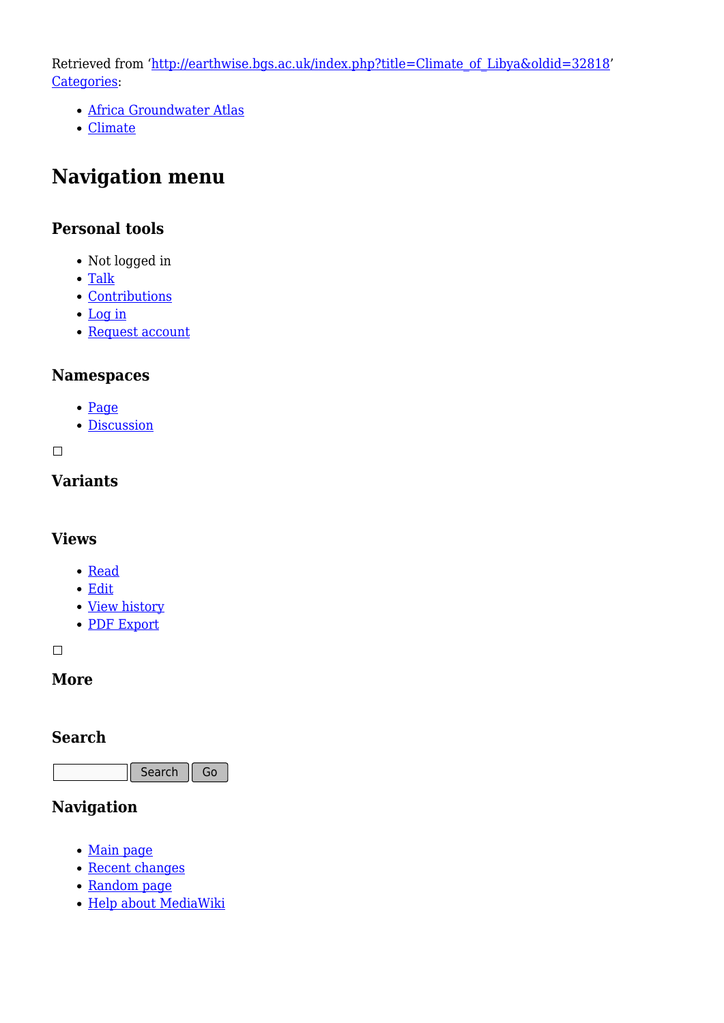Retrieved from ['http://earthwise.bgs.ac.uk/index.php?title=Climate\\_of\\_Libya&oldid=32818'](http://earthwise.bgs.ac.uk/index.php?title=Climate_of_Libya&oldid=32818) [Categories:](http://earthwise.bgs.ac.uk/index.php/Special:Categories)

- [Africa Groundwater Atlas](http://earthwise.bgs.ac.uk/index.php/Category:Africa_Groundwater_Atlas)
- [Climate](http://earthwise.bgs.ac.uk/index.php/Category:Climate)

# **Navigation menu**

#### **Personal tools**

- Not logged in
- [Talk](http://earthwise.bgs.ac.uk/index.php/Special:MyTalk)
- [Contributions](http://earthwise.bgs.ac.uk/index.php/Special:MyContributions)
- [Log in](http://earthwise.bgs.ac.uk/index.php?title=Special:UserLogin&returnto=Climate+of+Libya&returntoquery=action%3Dmpdf)
- [Request account](http://earthwise.bgs.ac.uk/index.php/Special:RequestAccount)

#### **Namespaces**

- [Page](http://earthwise.bgs.ac.uk/index.php/Climate_of_Libya)
- [Discussion](http://earthwise.bgs.ac.uk/index.php?title=Talk:Climate_of_Libya&action=edit&redlink=1)

 $\Box$ 

## **Variants**

#### **Views**

- [Read](http://earthwise.bgs.ac.uk/index.php/Climate_of_Libya)
- [Edit](http://earthwise.bgs.ac.uk/index.php?title=Climate_of_Libya&action=edit)
- [View history](http://earthwise.bgs.ac.uk/index.php?title=Climate_of_Libya&action=history)
- [PDF Export](http://earthwise.bgs.ac.uk/index.php?title=Climate_of_Libya&action=mpdf)

 $\overline{\phantom{a}}$ 

#### **More**

#### **Search**

Search Go

## **Navigation**

- [Main page](http://earthwise.bgs.ac.uk/index.php/Main_Page)
- [Recent changes](http://earthwise.bgs.ac.uk/index.php/Special:RecentChanges)
- [Random page](http://earthwise.bgs.ac.uk/index.php/Special:Random)
- [Help about MediaWiki](https://www.mediawiki.org/wiki/Special:MyLanguage/Help:Contents)